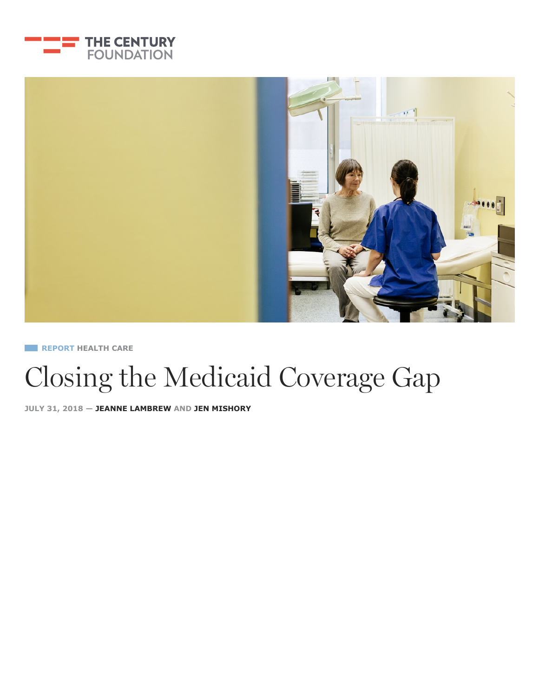



**REPORT [HEALTH CARE](https://tcf.org/topics/economy-jobs/health-care/)**

# Closing the Medicaid Coverage Gap

**JULY 31, 2018 — [JEANNE LAMBREW](https://tcf.org/experts/jeanne-lambrew/) AND [JEN MISHORY](https://tcf.org/experts/jen-mishory/)**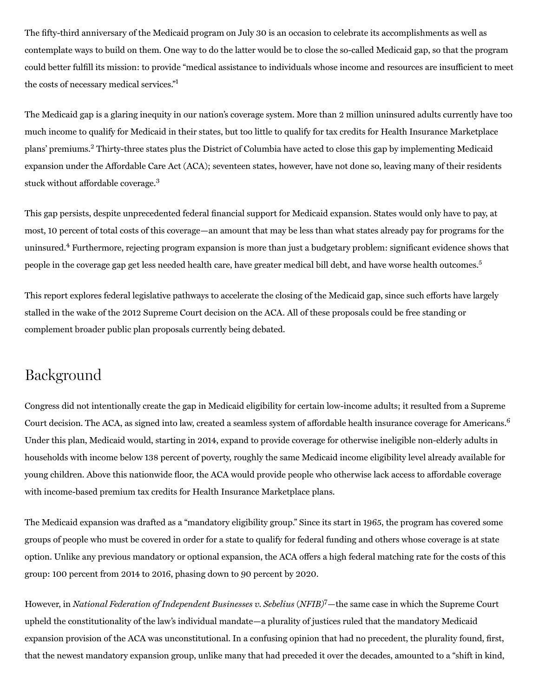The fifty-third anniversary of the Medicaid program on July 30 is an occasion to celebrate its accomplishments as well as contemplate ways to build on them. One way to do the latter would be to close the so-called Medicaid gap, so that the program could better fulfill its mission: to provide "medical assistance to individuals whose income and resources are insufficient to meet the costs of necessary medical services." 1

The Medicaid gap is a glaring inequity in our nation's coverage system. More than 2 million uninsured adults currently have too much income to qualify for Medicaid in their states, but too little to qualify for tax credits for Health Insurance Marketplace plans' premiums.<sup>2</sup> Thirty-three states plus the District of Columbia have acted to close this gap by implementing Medicaid expansion under the Affordable Care Act (ACA); seventeen states, however, have not done so, leaving many of their residents stuck without affordable coverage.<sup>3</sup>

This gap persists, despite unprecedented federal financial support for Medicaid expansion. States would only have to pay, at most, 10 percent of total costs of this coverage—an amount that may be less than what states already pay for programs for the uninsured.<sup>4</sup> Furthermore, rejecting program expansion is more than just a budgetary problem: significant evidence shows that people in the coverage gap get less needed health care, have greater medical bill debt, and have worse health outcomes. 5

This report explores federal legislative pathways to accelerate the closing of the Medicaid gap, since such efforts have largely stalled in the wake of the 2012 Supreme Court decision on the ACA. All of these proposals could be free standing or complement broader public plan proposals currently being debated.

# Background

Congress did not intentionally create the gap in Medicaid eligibility for certain low‑income adults; it resulted from a Supreme Court decision. The ACA, as signed into law, created a seamless system of affordable health insurance coverage for Americans.<sup>6</sup> Under this plan, Medicaid would, starting in 2014, expand to provide coverage for otherwise ineligible non‑elderly adults in households with income below 138 percent of poverty, roughly the same Medicaid income eligibility level already available for young children. Above this nationwide floor, the ACA would provide people who otherwise lack access to affordable coverage with income-based premium tax credits for Health Insurance Marketplace plans.

The Medicaid expansion was drafted as a "mandatory eligibility group." Since its start in 1965, the program has covered some groups of people who must be covered in order for a state to qualify for federal funding and others whose coverage is at state option. Unlike any previous mandatory or optional expansion, the ACA offers a high federal matching rate for the costs of this group: 100 percent from 2014 to 2016, phasing down to 90 percent by 2020.

However, in National Federation of Independent Businesses v. Sebelius (NFIB)<sup>7</sup>-the same case in which the Supreme Court upheld the constitutionality of the law's individual mandate—a plurality of justices ruled that the mandatory Medicaid expansion provision of the ACA was unconstitutional. In a confusing opinion that had no precedent, the plurality found, first, that the newest mandatory expansion group, unlike many that had preceded it over the decades, amounted to a "shift in kind,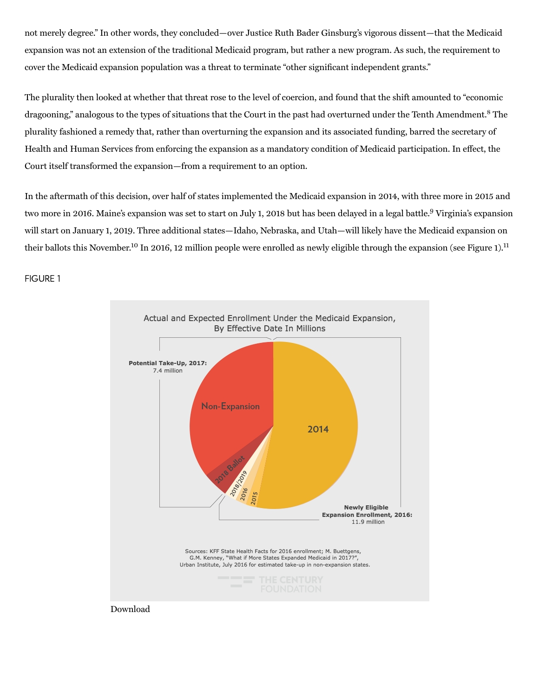not merely degree." In other words, they concluded—over Justice Ruth Bader Ginsburg's vigorous dissent—that the Medicaid expansion was not an extension of the traditional Medicaid program, but rather a new program. As such, the requirement to cover the Medicaid expansion population was a threat to terminate "other significant independent grants."

The plurality then looked at whether that threat rose to the level of coercion, and found that the shift amounted to "economic dragooning," analogous to the types of situations that the Court in the past had overturned under the Tenth Amendment.<sup>8</sup> The plurality fashioned a remedy that, rather than overturning the expansion and its associated funding, barred the secretary of Health and Human Services from enforcing the expansion as a mandatory condition of Medicaid participation. In effect, the Court itself transformed the expansion—from a requirement to an option.

In the aftermath of this decision, over half of states implemented the Medicaid expansion in 2014, with three more in 2015 and two more in 2016. Maine's expansion was set to start on July 1, 2018 but has been delayed in a legal battle.<sup>9</sup> Virginia's expansion will start on January 1, 2019. Three additional states—Idaho, Nebraska, and Utah—will likely have the Medicaid expansion on their ballots this November.<sup>10</sup> In 2016, 12 million people were enrolled as newly eligible through the expansion (see Figure 1).<sup>11</sup>

FIGURE 1



Download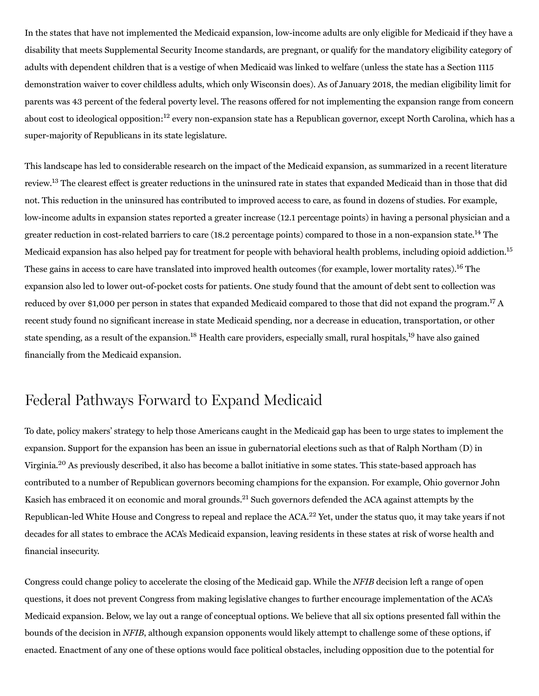In the states that have not implemented the Medicaid expansion, low‑income adults are only eligible for Medicaid if they have a disability that meets Supplemental Security Income standards, are pregnant, or qualify for the mandatory eligibility category of adults with dependent children that is a vestige of when Medicaid was linked to welfare (unless the state has a Section 1115 demonstration waiver to cover childless adults, which only Wisconsin does). As of January 2018, the median eligibility limit for parents was 43 percent of the federal poverty level. The reasons offered for not implementing the expansion range from concern about cost to ideological opposition:<sup>12</sup> every non-expansion state has a Republican governor, except North Carolina, which has a super-majority of Republicans in its state legislature.

This landscape has led to considerable research on the impact of the Medicaid expansion, as summarized in a recent literature review.<sup>13</sup> The clearest effect is greater reductions in the uninsured rate in states that expanded Medicaid than in those that did not. This reduction in the uninsured has contributed to improved access to care, as found in dozens of studies. For example, low-income adults in expansion states reported a greater increase (12.1 percentage points) in having a personal physician and a greater reduction in cost-related barriers to care (18.2 percentage points) compared to those in a non-expansion state.<sup>14</sup> The Medicaid expansion has also helped pay for treatment for people with behavioral health problems, including opioid addiction.<sup>15</sup> These gains in access to care have translated into improved health outcomes (for example, lower mortality rates).<sup>16</sup> The expansion also led to lower out-of-pocket costs for patients. One study found that the amount of debt sent to collection was reduced by over \$1,000 per person in states that expanded Medicaid compared to those that did not expand the program.<sup>17</sup> A recent study found no significant increase in state Medicaid spending, nor a decrease in education, transportation, or other state spending, as a result of the expansion.<sup>18</sup> Health care providers, especially small, rural hospitals,<sup>19</sup> have also gained financially from the Medicaid expansion.

# Federal Pathways Forward to Expand Medicaid

To date, policy makers' strategy to help those Americans caught in the Medicaid gap has been to urge states to implement the expansion. Support for the expansion has been an issue in gubernatorial elections such as that of Ralph Northam (D) in Virginia.<sup>20</sup> As previously described, it also has become a ballot initiative in some states. This state-based approach has contributed to a number of Republican governors becoming champions for the expansion. For example, Ohio governor John Kasich has embraced it on economic and moral grounds.<sup>21</sup> Such governors defended the ACA against attempts by the Republican-led White House and Congress to repeal and replace the ACA.<sup>22</sup> Yet, under the status quo, it may take years if not decades for all states to embrace the ACA's Medicaid expansion, leaving residents in these states at risk of worse health and financial insecurity.

Congress could change policy to accelerate the closing of the Medicaid gap. While the NFIB decision left a range of open questions, it does not prevent Congress from making legislative changes to further encourage implementation of the ACA's Medicaid expansion. Below, we lay out a range of conceptual options. We believe that all six options presented fall within the bounds of the decision in NFIB, although expansion opponents would likely attempt to challenge some of these options, if enacted. Enactment of any one of these options would face political obstacles, including opposition due to the potential for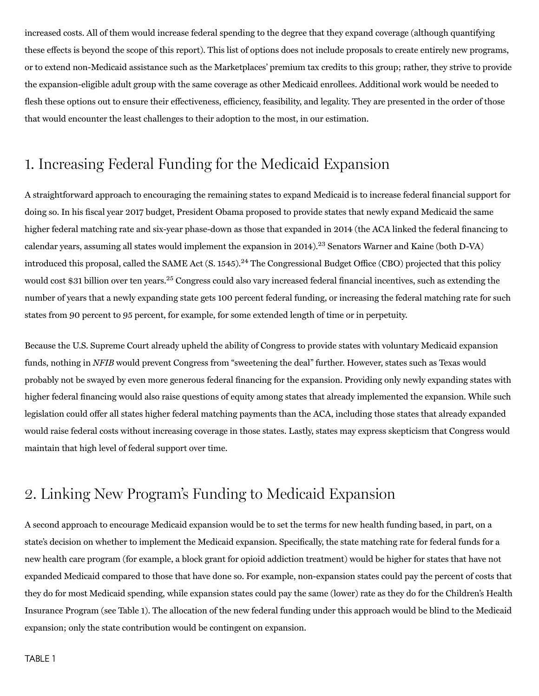increased costs. All of them would increase federal spending to the degree that they expand coverage (although quantifying these effects is beyond the scope of this report). This list of options does not include proposals to create entirely new programs, or to extend non‑Medicaid assistance such as the Marketplaces' premium tax credits to this group; rather, they strive to provide the expansion‑eligible adult group with the same coverage as other Medicaid enrollees. Additional work would be needed to flesh these options out to ensure their effectiveness, efficiency, feasibility, and legality. They are presented in the order of those that would encounter the least challenges to their adoption to the most, in our estimation.

# 1. Increasing Federal Funding for the Medicaid Expansion

A straightforward approach to encouraging the remaining states to expand Medicaid is to increase federal financial support for doing so. In his fiscal year 2017 budget, President Obama proposed to provide states that newly expand Medicaid the same higher federal matching rate and six-year phase-down as those that expanded in 2014 (the ACA linked the federal financing to calendar years, assuming all states would implement the expansion in 2014).<sup>23</sup> Senators Warner and Kaine (both D-VA) introduced this proposal, called the SAME Act (S. 1545).<sup>24</sup> The Congressional Budget Office (CBO) projected that this policy would cost \$31 billion over ten years.<sup>25</sup> Congress could also vary increased federal financial incentives, such as extending the number of years that a newly expanding state gets 100 percent federal funding, or increasing the federal matching rate for such states from 90 percent to 95 percent, for example, for some extended length of time or in perpetuity.

Because the U.S. Supreme Court already upheld the ability of Congress to provide states with voluntary Medicaid expansion funds, nothing in NFIB would prevent Congress from "sweetening the deal" further. However, states such as Texas would probably not be swayed by even more generous federal financing for the expansion. Providing only newly expanding states with higher federal financing would also raise questions of equity among states that already implemented the expansion. While such legislation could offer all states higher federal matching payments than the ACA, including those states that already expanded would raise federal costs without increasing coverage in those states. Lastly, states may express skepticism that Congress would maintain that high level of federal support over time.

# 2. Linking New Program's Funding to Medicaid Expansion

A second approach to encourage Medicaid expansion would be to set the terms for new health funding based, in part, on a state's decision on whether to implement the Medicaid expansion. Specifically, the state matching rate for federal funds for a new health care program (for example, a block grant for opioid addiction treatment) would be higher for states that have not expanded Medicaid compared to those that have done so. For example, non‑expansion states could pay the percent of costs that they do for most Medicaid spending, while expansion states could pay the same (lower) rate as they do for the Children's Health Insurance Program (see Table 1). The allocation of the new federal funding under this approach would be blind to the Medicaid expansion; only the state contribution would be contingent on expansion.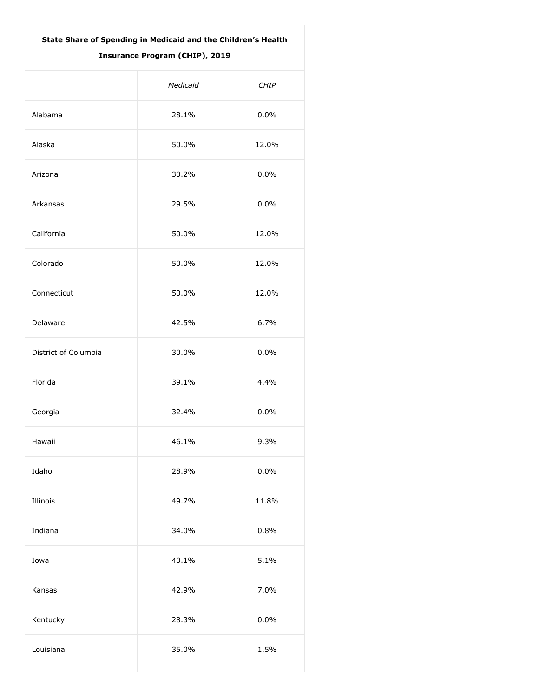| State Share of Spending in Medicaid and the Children's Health<br><b>Insurance Program (CHIP), 2019</b> |          |             |  |  |
|--------------------------------------------------------------------------------------------------------|----------|-------------|--|--|
|                                                                                                        | Medicaid | <b>CHIP</b> |  |  |
| Alabama                                                                                                | 28.1%    | 0.0%        |  |  |
| Alaska                                                                                                 | 50.0%    | 12.0%       |  |  |
| Arizona                                                                                                | 30.2%    | 0.0%        |  |  |
| Arkansas                                                                                               | 29.5%    | 0.0%        |  |  |
| California                                                                                             | 50.0%    | 12.0%       |  |  |
| Colorado                                                                                               | 50.0%    | 12.0%       |  |  |
| Connecticut                                                                                            | 50.0%    | 12.0%       |  |  |
| Delaware                                                                                               | 42.5%    | 6.7%        |  |  |
| District of Columbia                                                                                   | 30.0%    | 0.0%        |  |  |
| Florida                                                                                                | 39.1%    | 4.4%        |  |  |
| Georgia                                                                                                | 32.4%    | 0.0%        |  |  |
| Hawaii                                                                                                 | 46.1%    | 9.3%        |  |  |
| Idaho                                                                                                  | 28.9%    | 0.0%        |  |  |
| Illinois                                                                                               | 49.7%    | 11.8%       |  |  |
| Indiana                                                                                                | 34.0%    | 0.8%        |  |  |
| Iowa                                                                                                   | 40.1%    | 5.1%        |  |  |
| Kansas                                                                                                 | 42.9%    | 7.0%        |  |  |
| Kentucky                                                                                               | 28.3%    | 0.0%        |  |  |
| Louisiana                                                                                              | 35.0%    | 1.5%        |  |  |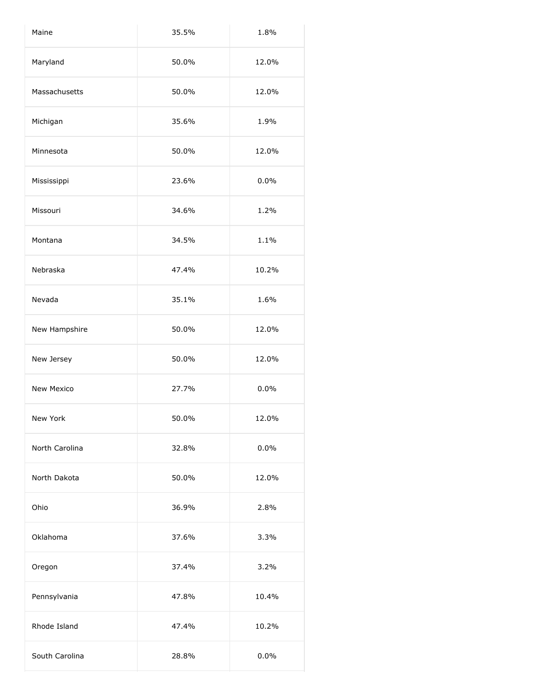| Maine          | 35.5% | 1.8%  |
|----------------|-------|-------|
| Maryland       | 50.0% | 12.0% |
| Massachusetts  | 50.0% | 12.0% |
| Michigan       | 35.6% | 1.9%  |
| Minnesota      | 50.0% | 12.0% |
| Mississippi    | 23.6% | 0.0%  |
| Missouri       | 34.6% | 1.2%  |
| Montana        | 34.5% | 1.1%  |
| Nebraska       | 47.4% | 10.2% |
| Nevada         | 35.1% | 1.6%  |
| New Hampshire  | 50.0% | 12.0% |
| New Jersey     | 50.0% | 12.0% |
| New Mexico     | 27.7% | 0.0%  |
| New York       | 50.0% | 12.0% |
| North Carolina | 32.8% | 0.0%  |
| North Dakota   | 50.0% | 12.0% |
| Ohio           | 36.9% | 2.8%  |
| Oklahoma       | 37.6% | 3.3%  |
| Oregon         | 37.4% | 3.2%  |
| Pennsylvania   | 47.8% | 10.4% |
| Rhode Island   | 47.4% | 10.2% |
| South Carolina | 28.8% | 0.0%  |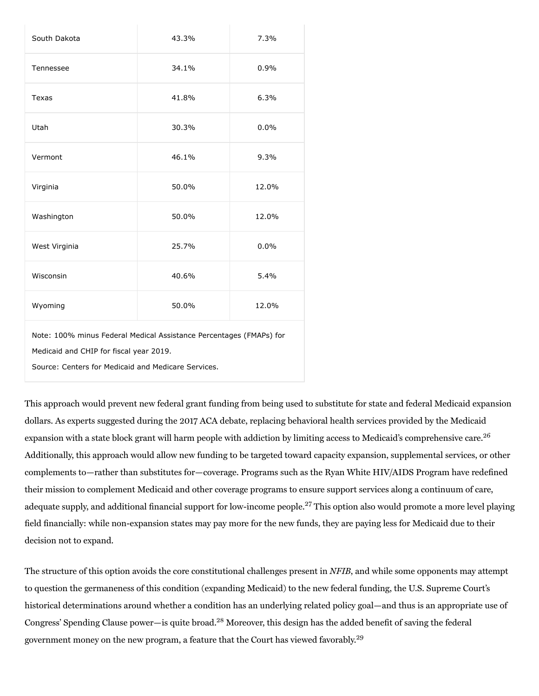| South Dakota                                                                                                                                                          | 43.3% | 7.3%  |  |  |
|-----------------------------------------------------------------------------------------------------------------------------------------------------------------------|-------|-------|--|--|
| Tennessee                                                                                                                                                             | 34.1% | 0.9%  |  |  |
| <b>Texas</b>                                                                                                                                                          | 41.8% | 6.3%  |  |  |
| Utah                                                                                                                                                                  | 30.3% | 0.0%  |  |  |
| Vermont                                                                                                                                                               | 46.1% | 9.3%  |  |  |
| Virginia                                                                                                                                                              | 50.0% | 12.0% |  |  |
| Washington                                                                                                                                                            | 50.0% | 12.0% |  |  |
| West Virginia                                                                                                                                                         | 25.7% | 0.0%  |  |  |
| Wisconsin                                                                                                                                                             | 40.6% | 5.4%  |  |  |
| Wyoming                                                                                                                                                               | 50.0% | 12.0% |  |  |
| Note: 100% minus Federal Medical Assistance Percentages (FMAPs) for<br>Medicaid and CHIP for fiscal year 2019.<br>Source: Centers for Medicaid and Medicare Services. |       |       |  |  |

This approach would prevent new federal grant funding from being used to substitute for state and federal Medicaid expansion dollars. As experts suggested during the 2017 ACA debate, replacing behavioral health services provided by the Medicaid expansion with a state block grant will harm people with addiction by limiting access to Medicaid's comprehensive care.<sup>26</sup> Additionally, this approach would allow new funding to be targeted toward capacity expansion, supplemental services, or other complements to—rather than substitutes for—coverage. Programs such as the Ryan White HIV/AIDS Program have redefined their mission to complement Medicaid and other coverage programs to ensure support services along a continuum of care, adequate supply, and additional financial support for low-income people.<sup>27</sup> This option also would promote a more level playing field financially: while non-expansion states may pay more for the new funds, they are paying less for Medicaid due to their decision not to expand.

The structure of this option avoids the core constitutional challenges present in NFIB, and while some opponents may attempt to question the germaneness of this condition (expanding Medicaid) to the new federal funding, the U.S. Supreme Court's historical determinations around whether a condition has an underlying related policy goal—and thus is an appropriate use of Congress' Spending Clause power-is quite broad.<sup>28</sup> Moreover, this design has the added benefit of saving the federal government money on the new program, a feature that the Court has viewed favorably.<sup>29</sup>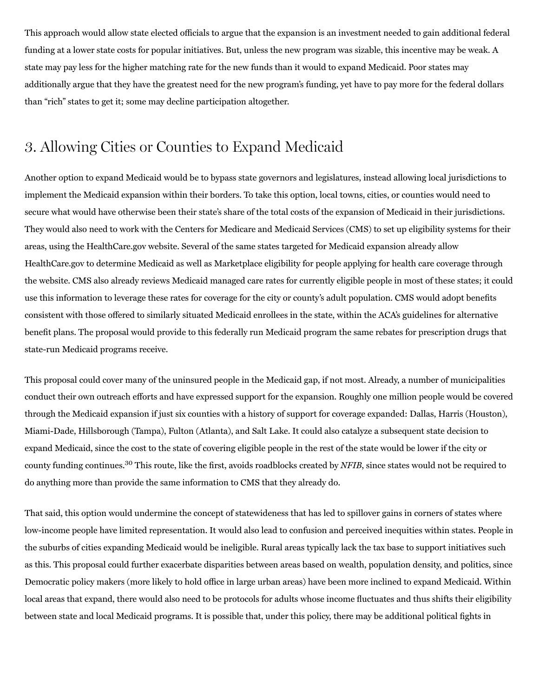This approach would allow state elected officials to argue that the expansion is an investment needed to gain additional federal funding at a lower state costs for popular initiatives. But, unless the new program was sizable, this incentive may be weak. A state may pay less for the higher matching rate for the new funds than it would to expand Medicaid. Poor states may additionally argue that they have the greatest need for the new program's funding, yet have to pay more for the federal dollars than "rich" states to get it; some may decline participation altogether.

### 3. Allowing Cities or Counties to Expand Medicaid

Another option to expand Medicaid would be to bypass state governors and legislatures, instead allowing local jurisdictions to implement the Medicaid expansion within their borders. To take this option, local towns, cities, or counties would need to secure what would have otherwise been their state's share of the total costs of the expansion of Medicaid in their jurisdictions. They would also need to work with the Centers for Medicare and Medicaid Services (CMS) to set up eligibility systems for their areas, using the HealthCare.gov website. Several of the same states targeted for Medicaid expansion already allow HealthCare.gov to determine Medicaid as well as Marketplace eligibility for people applying for health care coverage through the website. CMS also already reviews Medicaid managed care rates for currently eligible people in most of these states; it could use this information to leverage these rates for coverage for the city or county's adult population. CMS would adopt benefits consistent with those offered to similarly situated Medicaid enrollees in the state, within the ACA's guidelines for alternative benefit plans. The proposal would provide to this federally run Medicaid program the same rebates for prescription drugs that state‑run Medicaid programs receive.

This proposal could cover many of the uninsured people in the Medicaid gap, if not most. Already, a number of municipalities conduct their own outreach efforts and have expressed support for the expansion. Roughly one million people would be covered through the Medicaid expansion if just six counties with a history of support for coverage expanded: Dallas, Harris (Houston), Miami‑Dade, Hillsborough (Tampa), Fulton (Atlanta), and Salt Lake. It could also catalyze a subsequent state decision to expand Medicaid, since the cost to the state of covering eligible people in the rest of the state would be lower if the city or county funding continues.<sup>30</sup> This route, like the first, avoids roadblocks created by NFIB, since states would not be required to do anything more than provide the same information to CMS that they already do.

That said, this option would undermine the concept of statewideness that has led to spillover gains in corners of states where low‑income people have limited representation. It would also lead to confusion and perceived inequities within states. People in the suburbs of cities expanding Medicaid would be ineligible. Rural areas typically lack the tax base to support initiatives such as this. This proposal could further exacerbate disparities between areas based on wealth, population density, and politics, since Democratic policy makers (more likely to hold office in large urban areas) have been more inclined to expand Medicaid. Within local areas that expand, there would also need to be protocols for adults whose income fluctuates and thus shifts their eligibility between state and local Medicaid programs. It is possible that, under this policy, there may be additional political fights in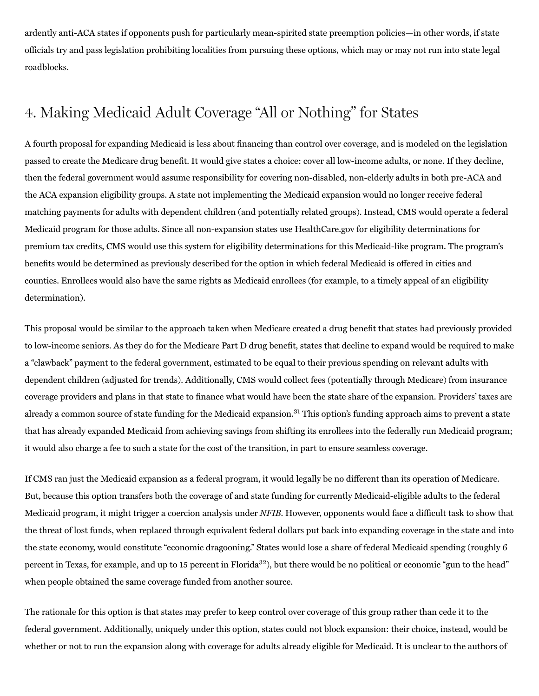ardently anti‑ACA states if opponents push for particularly mean‑spirited state preemption policies—in other words, if state officials try and pass legislation prohibiting localities from pursuing these options, which may or may not run into state legal roadblocks.

# 4. Making Medicaid Adult Coverage "All or Nothing" for States

A fourth proposal for expanding Medicaid is less about financing than control over coverage, and is modeled on the legislation passed to create the Medicare drug benefit. It would give states a choice: cover all low‑income adults, or none. If they decline, then the federal government would assume responsibility for covering non-disabled, non-elderly adults in both pre-ACA and the ACA expansion eligibility groups. A state not implementing the Medicaid expansion would no longer receive federal matching payments for adults with dependent children (and potentially related groups). Instead, CMS would operate a federal Medicaid program for those adults. Since all non‑expansion states use HealthCare.gov for eligibility determinations for premium tax credits, CMS would use this system for eligibility determinations for this Medicaid‑like program. The program's benefits would be determined as previously described for the option in which federal Medicaid is offered in cities and counties. Enrollees would also have the same rights as Medicaid enrollees (for example, to a timely appeal of an eligibility determination).

This proposal would be similar to the approach taken when Medicare created a drug benefit that states had previously provided to low‑income seniors. As they do for the Medicare Part D drug benefit, states that decline to expand would be required to make a "clawback" payment to the federal government, estimated to be equal to their previous spending on relevant adults with dependent children (adjusted for trends). Additionally, CMS would collect fees (potentially through Medicare) from insurance coverage providers and plans in that state to finance what would have been the state share of the expansion. Providers' taxes are already a common source of state funding for the Medicaid expansion.<sup>31</sup> This option's funding approach aims to prevent a state that has already expanded Medicaid from achieving savings from shifting its enrollees into the federally run Medicaid program; it would also charge a fee to such a state for the cost of the transition, in part to ensure seamless coverage.

If CMS ran just the Medicaid expansion as a federal program, it would legally be no different than its operation of Medicare. But, because this option transfers both the coverage of and state funding for currently Medicaid‑eligible adults to the federal Medicaid program, it might trigger a coercion analysis under NFIB. However, opponents would face a difficult task to show that the threat of lost funds, when replaced through equivalent federal dollars put back into expanding coverage in the state and into the state economy, would constitute "economic dragooning." States would lose a share of federal Medicaid spending (roughly 6 percent in Texas, for example, and up to 15 percent in Florida<sup>32</sup>), but there would be no political or economic "gun to the head" when people obtained the same coverage funded from another source.

The rationale for this option is that states may prefer to keep control over coverage of this group rather than cede it to the federal government. Additionally, uniquely under this option, states could not block expansion: their choice, instead, would be whether or not to run the expansion along with coverage for adults already eligible for Medicaid. It is unclear to the authors of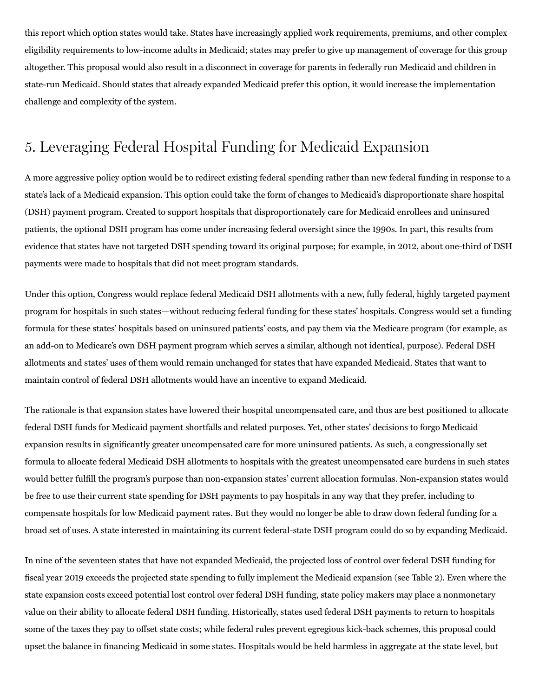this report which option states would take. States have increasingly applied work requirements, premiums, and other complex eligibility requirements to low‑income adults in Medicaid; states may prefer to give up management of coverage for this group altogether. This proposal would also result in a disconnect in coverage for parents in federally run Medicaid and children in state-run Medicaid. Should states that already expanded Medicaid prefer this option, it would increase the implementation challenge and complexity of the system.

# 5. Leveraging Federal Hospital Funding for Medicaid Expansion

A more aggressive policy option would be to redirect existing federal spending rather than new federal funding in response to a state's lack of a Medicaid expansion. This option could take the form of changes to Medicaid's disproportionate share hospital (DSH) payment program. Created to support hospitals that disproportionately care for Medicaid enrollees and uninsured patients, the optional DSH program has come under increasing federal oversight since the 1990s. In part, this results from evidence that states have not targeted DSH spending toward its original purpose; for example, in 2012, about one-third of DSH payments were made to hospitals that did not meet program standards.

Under this option, Congress would replace federal Medicaid DSH allotments with a new, fully federal, highly targeted payment program for hospitals in such states—without reducing federal funding for these states' hospitals. Congress would set a funding formula for these states' hospitals based on uninsured patients' costs, and pay them via the Medicare program (for example, as an add-on to Medicare's own DSH payment program which serves a similar, although not identical, purpose). Federal DSH allotments and states' uses of them would remain unchanged for states that have expanded Medicaid. States that want to maintain control of federal DSH allotments would have an incentive to expand Medicaid.

The rationale is that expansion states have lowered their hospital uncompensated care, and thus are best positioned to allocate federal DSH funds for Medicaid payment shortfalls and related purposes. Yet, other states' decisions to forgo Medicaid expansion results in significantly greater uncompensated care for more uninsured patients. As such, a congressionally set formula to allocate federal Medicaid DSH allotments to hospitals with the greatest uncompensated care burdens in such states would better fulfill the program's purpose than non-expansion states' current allocation formulas. Non-expansion states would be free to use their current state spending for DSH payments to pay hospitals in any way that they prefer, including to compensate hospitals for low Medicaid payment rates. But they would no longer be able to draw down federal funding for a broad set of uses. A state interested in maintaining its current federal‑state DSH program could do so by expanding Medicaid.

In nine of the seventeen states that have not expanded Medicaid, the projected loss of control over federal DSH funding for fiscal year 2019 exceeds the projected state spending to fully implement the Medicaid expansion (see Table 2). Even where the state expansion costs exceed potential lost control over federal DSH funding, state policy makers may place a nonmonetary value on their ability to allocate federal DSH funding. Historically, states used federal DSH payments to return to hospitals some of the taxes they pay to offset state costs; while federal rules prevent egregious kick-back schemes, this proposal could upset the balance in financing Medicaid in some states. Hospitals would be held harmless in aggregate at the state level, but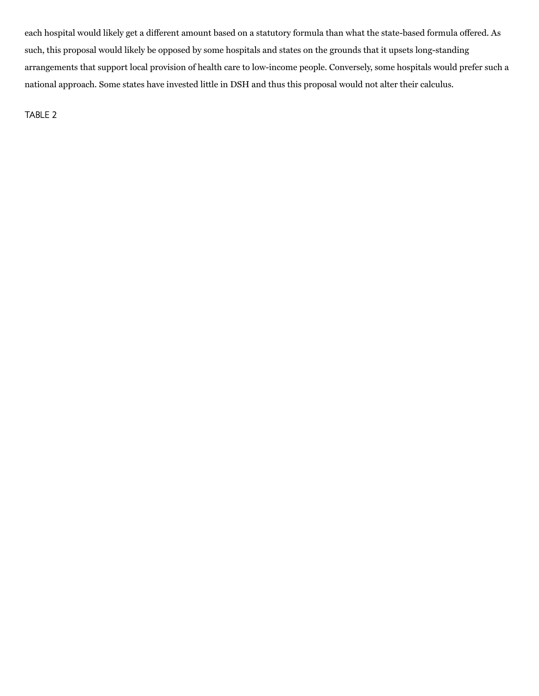each hospital would likely get a different amount based on a statutory formula than what the state-based formula offered. As such, this proposal would likely be opposed by some hospitals and states on the grounds that it upsets long-standing arrangements that support local provision of health care to low‑income people. Conversely, some hospitals would prefer such a national approach. Some states have invested little in DSH and thus this proposal would not alter their calculus.

TABLE 2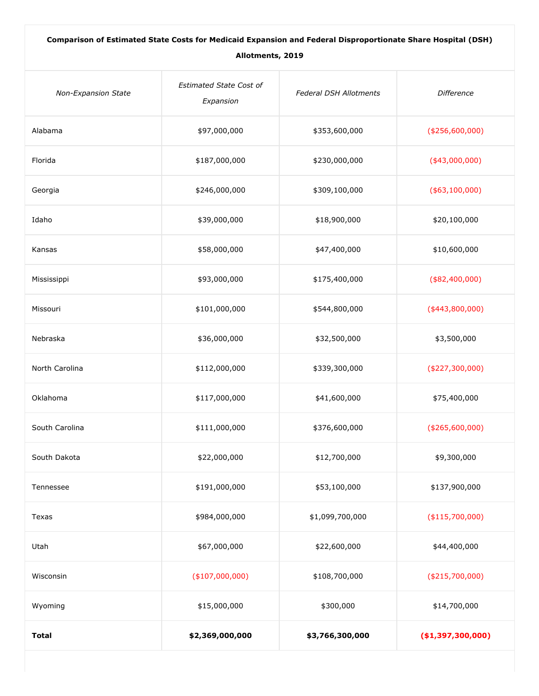| Comparison of Estimated State Costs for Medicaid Expansion and Federal Disproportionate Share Hospital (DSH) |                                             |                               |                    |  |  |  |
|--------------------------------------------------------------------------------------------------------------|---------------------------------------------|-------------------------------|--------------------|--|--|--|
| Allotments, 2019                                                                                             |                                             |                               |                    |  |  |  |
| <b>Non-Expansion State</b>                                                                                   | <b>Estimated State Cost of</b><br>Expansion | <b>Federal DSH Allotments</b> | <b>Difference</b>  |  |  |  |
| Alabama                                                                                                      | \$97,000,000                                | \$353,600,000                 | ( \$256,600,000)   |  |  |  |
| Florida                                                                                                      | \$187,000,000                               | \$230,000,000                 | $(*43,000,000)$    |  |  |  |
| Georgia                                                                                                      | \$246,000,000                               | \$309,100,000                 | $($ \$63,100,000)  |  |  |  |
| Idaho                                                                                                        | \$39,000,000                                | \$18,900,000                  | \$20,100,000       |  |  |  |
| Kansas                                                                                                       | \$58,000,000                                | \$47,400,000                  | \$10,600,000       |  |  |  |
| Mississippi                                                                                                  | \$93,000,000                                | \$175,400,000                 | $($ \$82,400,000)  |  |  |  |
| Missouri                                                                                                     | \$101,000,000                               | \$544,800,000                 | $(*443,800,000)$   |  |  |  |
| Nebraska                                                                                                     | \$36,000,000                                | \$32,500,000                  | \$3,500,000        |  |  |  |
| North Carolina                                                                                               | \$112,000,000                               | \$339,300,000                 | ( \$227, 300, 000) |  |  |  |
| Oklahoma                                                                                                     | \$117,000,000                               | \$41,600,000                  | \$75,400,000       |  |  |  |
| South Carolina                                                                                               | \$111,000,000                               | \$376,600,000                 | ( \$265,600,000)   |  |  |  |
| South Dakota                                                                                                 | \$22,000,000                                | \$12,700,000                  | \$9,300,000        |  |  |  |
| Tennessee                                                                                                    | \$191,000,000                               | \$53,100,000                  | \$137,900,000      |  |  |  |
| Texas                                                                                                        | \$984,000,000                               | \$1,099,700,000               | (\$115,700,000)    |  |  |  |
| Utah                                                                                                         | \$67,000,000                                | \$22,600,000                  | \$44,400,000       |  |  |  |
| Wisconsin                                                                                                    | $(*107,000,000)$                            | \$108,700,000                 | $(*215,700,000)$   |  |  |  |
| Wyoming                                                                                                      | \$15,000,000                                | \$300,000                     | \$14,700,000       |  |  |  |
| <b>Total</b>                                                                                                 | \$2,369,000,000                             | \$3,766,300,000               | ( \$1,397,300,000) |  |  |  |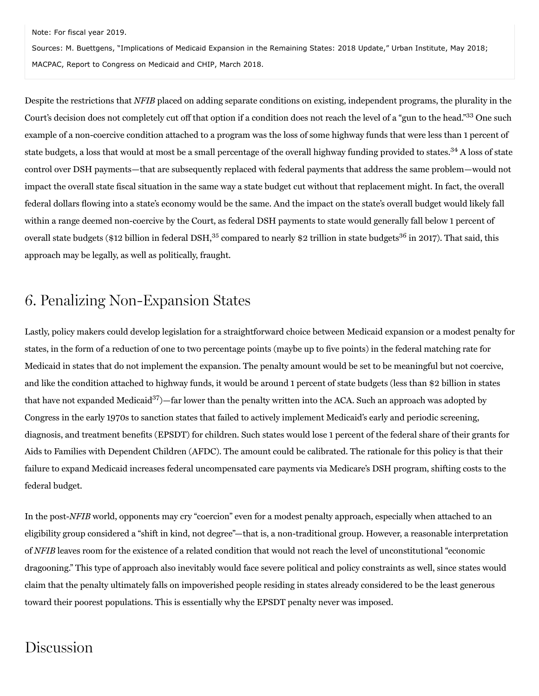Note: For fiscal year 2019.

Sources: M. Buettgens, "Implications of Medicaid Expansion in the Remaining States: 2018 Update," Urban Institute, May 2018; MACPAC, Report to Congress on Medicaid and CHIP, March 2018.

Despite the restrictions that NFIB placed on adding separate conditions on existing, independent programs, the plurality in the Court's decision does not completely cut off that option if a condition does not reach the level of a "gun to the head."<sup>33</sup> One such example of a non-coercive condition attached to a program was the loss of some highway funds that were less than 1 percent of state budgets, a loss that would at most be a small percentage of the overall highway funding provided to states.<sup>34</sup> A loss of state control over DSH payments—that are subsequently replaced with federal payments that address the same problem—would not impact the overall state fiscal situation in the same way a state budget cut without that replacement might. In fact, the overall federal dollars flowing into a state's economy would be the same. And the impact on the state's overall budget would likely fall within a range deemed non-coercive by the Court, as federal DSH payments to state would generally fall below 1 percent of overall state budgets (\$12 billion in federal DSH,<sup>35</sup> compared to nearly \$2 trillion in state budgets<sup>36</sup> in 2017). That said, this approach may be legally, as well as politically, fraught.

# 6. Penalizing Non-Expansion States

Lastly, policy makers could develop legislation for a straightforward choice between Medicaid expansion or a modest penalty for states, in the form of a reduction of one to two percentage points (maybe up to five points) in the federal matching rate for Medicaid in states that do not implement the expansion. The penalty amount would be set to be meaningful but not coercive, and like the condition attached to highway funds, it would be around 1 percent of state budgets (less than \$2 billion in states that have not expanded Medicaid<sup>37</sup>)—far lower than the penalty written into the ACA. Such an approach was adopted by Congress in the early 1970s to sanction states that failed to actively implement Medicaid's early and periodic screening, diagnosis, and treatment benefits (EPSDT) for children. Such states would lose 1 percent of the federal share of their grants for Aids to Families with Dependent Children (AFDC). The amount could be calibrated. The rationale for this policy is that their failure to expand Medicaid increases federal uncompensated care payments via Medicare's DSH program, shifting costs to the federal budget.

In the post-NFIB world, opponents may cry "coercion" even for a modest penalty approach, especially when attached to an eligibility group considered a "shift in kind, not degree"—that is, a non‑traditional group. However, a reasonable interpretation of NFIB leaves room for the existence of a related condition that would not reach the level of unconstitutional "economic dragooning." This type of approach also inevitably would face severe political and policy constraints as well, since states would claim that the penalty ultimately falls on impoverished people residing in states already considered to be the least generous toward their poorest populations. This is essentially why the EPSDT penalty never was imposed.

# Discussion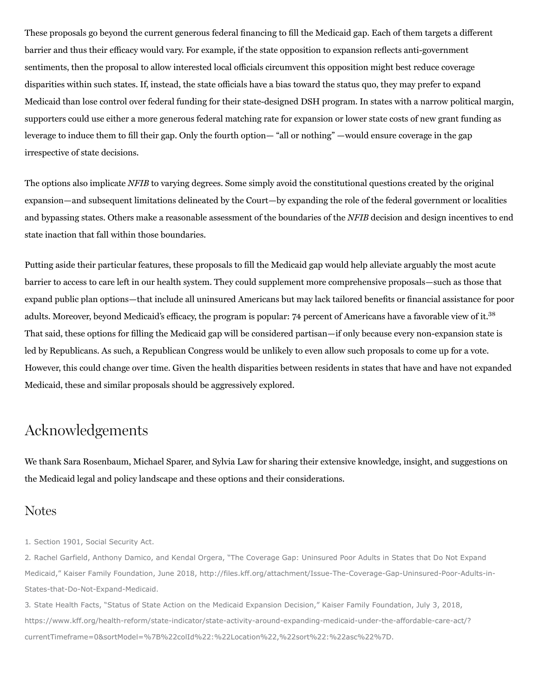These proposals go beyond the current generous federal financing to fill the Medicaid gap. Each of them targets a different barrier and thus their efficacy would vary. For example, if the state opposition to expansion reflects anti‑government sentiments, then the proposal to allow interested local officials circumvent this opposition might best reduce coverage disparities within such states. If, instead, the state officials have a bias toward the status quo, they may prefer to expand Medicaid than lose control over federal funding for their state-designed DSH program. In states with a narrow political margin, supporters could use either a more generous federal matching rate for expansion or lower state costs of new grant funding as leverage to induce them to fill their gap. Only the fourth option— "all or nothing" —would ensure coverage in the gap irrespective of state decisions.

The options also implicate NFIB to varying degrees. Some simply avoid the constitutional questions created by the original expansion—and subsequent limitations delineated by the Court—by expanding the role of the federal government or localities and bypassing states. Others make a reasonable assessment of the boundaries of the NFIB decision and design incentives to end state inaction that fall within those boundaries.

Putting aside their particular features, these proposals to fill the Medicaid gap would help alleviate arguably the most acute barrier to access to care left in our health system. They could supplement more comprehensive proposals—such as those that expand public plan options—that include all uninsured Americans but may lack tailored benefits or financial assistance for poor adults. Moreover, beyond Medicaid's efficacy, the program is popular: 74 percent of Americans have a favorable view of it.<sup>38</sup> That said, these options for filling the Medicaid gap will be considered partisan—if only because every non-expansion state is led by Republicans. As such, a Republican Congress would be unlikely to even allow such proposals to come up for a vote. However, this could change over time. Given the health disparities between residents in states that have and have not expanded Medicaid, these and similar proposals should be aggressively explored.

# Acknowledgements

We thank Sara Rosenbaum, Michael Sparer, and Sylvia Law for sharing their extensive knowledge, insight, and suggestions on the Medicaid legal and policy landscape and these options and their considerations.

#### Notes

1. Section 1901, Social Security Act.

2. Rachel Garfield, Anthony Damico, and Kendal Orgera, "The Coverage Gap: Uninsured Poor Adults in States that Do Not Expand Medicaid," Kaiser Family Foundation, June 2018, http://files.kff.org/attachment/Issue-The-Coverage-Gap-Uninsured-Poor-Adults-in-States-that-Do-Not-Expand-Medicaid.

3. State Health Facts, "Status of State Action on the Medicaid Expansion Decision," Kaiser Family Foundation, July 3, 2018, https://www.kff.org/health-reform/state-indicator/state-activity-around-expanding-medicaid-under-the-affordable-care-act/? currentTimeframe=0&sortModel=%7B%22colId%22:%22Location%22,%22sort%22:%22asc%22%7D.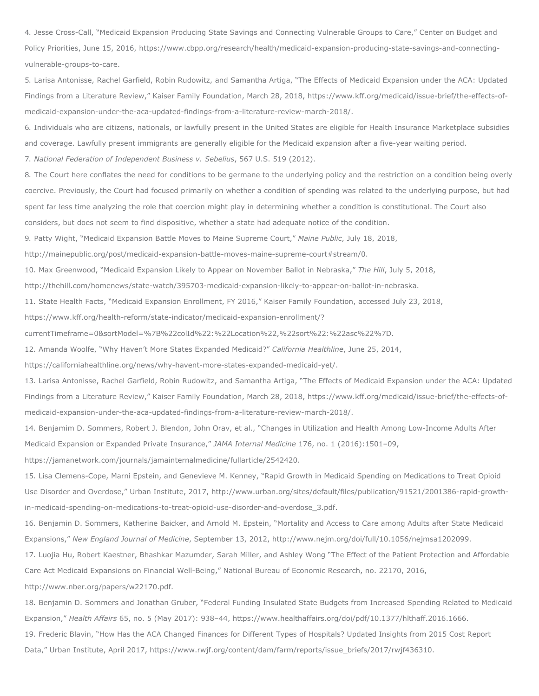4. Jesse Cross-Call, "Medicaid Expansion Producing State Savings and Connecting Vulnerable Groups to Care," Center on Budget and Policy Priorities, June 15, 2016, https://www.cbpp.org/research/health/medicaid-expansion-producing-state-savings-and-connectingvulnerable-groups-to-care.

5. Larisa Antonisse, Rachel Garfield, Robin Rudowitz, and Samantha Artiga, "The Effects of Medicaid Expansion under the ACA: Updated Findings from a Literature Review," Kaiser Family Foundation, March 28, 2018, https://www.kff.org/medicaid/issue-brief/the-effects-ofmedicaid-expansion-under-the-aca-updated-findings-from-a-literature-review-march-2018/.

6. Individuals who are citizens, nationals, or lawfully present in the United States are eligible for Health Insurance Marketplace subsidies and coverage. Lawfully present immigrants are generally eligible for the Medicaid expansion after a five-year waiting period.

7. *National Federation of Independent Business v. Sebelius*, 567 U.S. 519 (2012).

8. The Court here conflates the need for conditions to be germane to the underlying policy and the restriction on a condition being overly coercive. Previously, the Court had focused primarily on whether a condition of spending was related to the underlying purpose, but had spent far less time analyzing the role that coercion might play in determining whether a condition is constitutional. The Court also considers, but does not seem to find dispositive, whether a state had adequate notice of the condition.

9. Patty Wight, "Medicaid Expansion Battle Moves to Maine Supreme Court," *Maine Public*, July 18, 2018,

http://mainepublic.org/post/medicaid-expansion-battle-moves-maine-supreme-court#stream/0.

10. Max Greenwood, "Medicaid Expansion Likely to Appear on November Ballot in Nebraska," *The Hill*, July 5, 2018,

http://thehill.com/homenews/state-watch/395703-medicaid-expansion-likely-to-appear-on-ballot-in-nebraska.

11. State Health Facts, "Medicaid Expansion Enrollment, FY 2016," Kaiser Family Foundation, accessed July 23, 2018,

https://www.kff.org/health-reform/state-indicator/medicaid-expansion-enrollment/?

currentTimeframe=0&sortModel=%7B%22colId%22:%22Location%22,%22sort%22:%22asc%22%7D.

12. Amanda Woolfe, "Why Haven't More States Expanded Medicaid?" *California Healthline*, June 25, 2014,

https://californiahealthline.org/news/why-havent-more-states-expanded-medicaid-yet/.

13. Larisa Antonisse, Rachel Garfield, Robin Rudowitz, and Samantha Artiga, "The Effects of Medicaid Expansion under the ACA: Updated Findings from a Literature Review," Kaiser Family Foundation, March 28, 2018, https://www.kff.org/medicaid/issue-brief/the-effects-ofmedicaid-expansion-under-the-aca-updated-findings-from-a-literature-review-march-2018/.

14. Benjamim D. Sommers, Robert J. Blendon, John Orav, et al., "Changes in Utilization and Health Among Low-Income Adults After Medicaid Expansion or Expanded Private Insurance," *JAMA Internal Medicine* 176, no. 1 (2016):1501–09,

https://jamanetwork.com/journals/jamainternalmedicine/fullarticle/2542420.

15. Lisa Clemens-Cope, Marni Epstein, and Genevieve M. Kenney, "Rapid Growth in Medicaid Spending on Medications to Treat Opioid Use Disorder and Overdose," Urban Institute, 2017, http://www.urban.org/sites/default/files/publication/91521/2001386-rapid-growthin-medicaid-spending-on-medications-to-treat-opioid-use-disorder-and-overdose\_3.pdf.

16. Benjamin D. Sommers, Katherine Baicker, and Arnold M. Epstein, "Mortality and Access to Care among Adults after State Medicaid Expansions," *New England Journal of Medicine*, September 13, 2012, http://www.nejm.org/doi/full/10.1056/nejmsa1202099.

17. Luojia Hu, Robert Kaestner, Bhashkar Mazumder, Sarah Miller, and Ashley Wong "The Effect of the Patient Protection and Affordable Care Act Medicaid Expansions on Financial Well-Being," National Bureau of Economic Research, no. 22170, 2016,

http://www.nber.org/papers/w22170.pdf.

18. Benjamin D. Sommers and Jonathan Gruber, "Federal Funding Insulated State Budgets from Increased Spending Related to Medicaid Expansion," *Health Affairs* 65, no. 5 (May 2017): 938–44, https://www.healthaffairs.org/doi/pdf/10.1377/hlthaff.2016.1666.

19. Frederic Blavin, "How Has the ACA Changed Finances for Different Types of Hospitals? Updated Insights from 2015 Cost Report Data," Urban Institute, April 2017, https://www.rwjf.org/content/dam/farm/reports/issue\_briefs/2017/rwjf436310.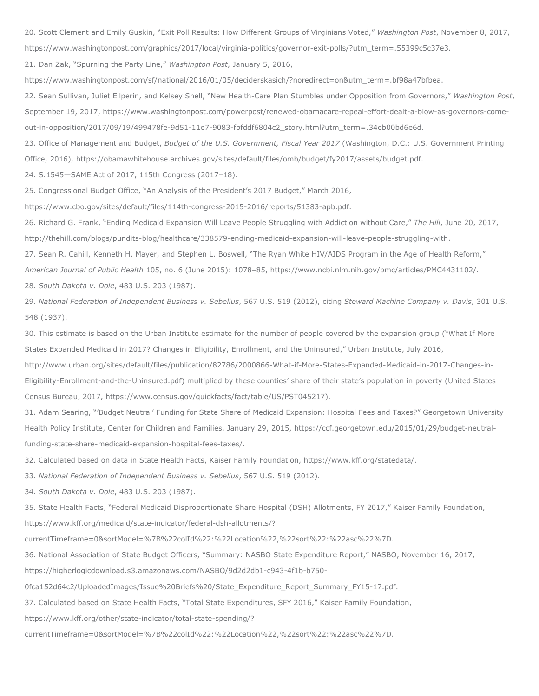20. Scott Clement and Emily Guskin, "Exit Poll Results: How Different Groups of Virginians Voted," *Washington Post*, November 8, 2017,

https://www.washingtonpost.com/graphics/2017/local/virginia-politics/governor-exit-polls/?utm\_term=.55399c5c37e3.

21. Dan Zak, "Spurning the Party Line," *Washington Post*, January 5, 2016,

https://www.washingtonpost.com/sf/national/2016/01/05/deciderskasich/?noredirect=on&utm\_term=.bf98a47bfbea.

22. Sean Sullivan, Juliet Eilperin, and Kelsey Snell, "New Health-Care Plan Stumbles under Opposition from Governors," Washington Post, September 19, 2017, https://www.washingtonpost.com/powerpost/renewed-obamacare-repeal-effort-dealt-a-blow-as-governors-comeout-in-opposition/2017/09/19/499478fe-9d51-11e7-9083-fbfddf6804c2\_story.html?utm\_term=.34eb00bd6e6d.

23. Office of Management and Budget, *Budget of the U.S. Government, Fiscal Year 2017* (Washington, D.C.: U.S. Government Printing Office, 2016), https://obamawhitehouse.archives.gov/sites/default/files/omb/budget/fy2017/assets/budget.pdf.

24. S.1545—SAME Act of 2017, 115th Congress (2017–18).

25. Congressional Budget Office, "An Analysis of the President's 2017 Budget," March 2016,

https://www.cbo.gov/sites/default/files/114th-congress-2015-2016/reports/51383-apb.pdf.

26. Richard G. Frank, "Ending Medicaid Expansion Will Leave People Struggling with Addiction without Care," *The Hill*, June 20, 2017, http://thehill.com/blogs/pundits-blog/healthcare/338579-ending-medicaid-expansion-will-leave-people-struggling-with.

27. Sean R. Cahill, Kenneth H. Mayer, and Stephen L. Boswell, "The Ryan White HIV/AIDS Program in the Age of Health Reform,"

*American Journal of Public Health* 105, no. 6 (June 2015): 1078–85, https://www.ncbi.nlm.nih.gov/pmc/articles/PMC4431102/.

28. *South Dakota v. Dole*, 483 U.S. 203 (1987).

29. *National Federation of Independent Business v. Sebelius*, 567 U.S. 519 (2012), citing *Steward Machine Company v. Davis*, 301 U.S. 548 (1937).

30. This estimate is based on the Urban Institute estimate for the number of people covered by the expansion group ("What If More States Expanded Medicaid in 2017? Changes in Eligibility, Enrollment, and the Uninsured," Urban Institute, July 2016,

http://www.urban.org/sites/default/files/publication/82786/2000866-What-if-More-States-Expanded-Medicaid-in-2017-Changes-in-Eligibility-Enrollment-and-the-Uninsured.pdf) multiplied by these counties' share of their state's population in poverty (United States Census Bureau, 2017, https://www.census.gov/quickfacts/fact/table/US/PST045217).

31. Adam Searing, "'Budget Neutral' Funding for State Share of Medicaid Expansion: Hospital Fees and Taxes?" Georgetown University Health Policy Institute, Center for Children and Families, January 29, 2015, https://ccf.georgetown.edu/2015/01/29/budget-neutralfunding-state-share-medicaid-expansion-hospital-fees-taxes/.

32. Calculated based on data in State Health Facts, Kaiser Family Foundation, https://www.kff.org/statedata/.

33. *National Federation of Independent Business v. Sebelius*, 567 U.S. 519 (2012).

34. *South Dakota v. Dole*, 483 U.S. 203 (1987).

35. State Health Facts, "Federal Medicaid Disproportionate Share Hospital (DSH) Allotments, FY 2017," Kaiser Family Foundation, https://www.kff.org/medicaid/state-indicator/federal-dsh-allotments/?

currentTimeframe=0&sortModel=%7B%22colId%22:%22Location%22,%22sort%22:%22asc%22%7D.

36. National Association of State Budget Officers, "Summary: NASBO State Expenditure Report," NASBO, November 16, 2017,

https://higherlogicdownload.s3.amazonaws.com/NASBO/9d2d2db1-c943-4f1b-b750-

0fca152d64c2/UploadedImages/Issue%20Briefs%20/State\_Expenditure\_Report\_Summary\_FY15-17.pdf.

37. Calculated based on State Health Facts, "Total State Expenditures, SFY 2016," Kaiser Family Foundation,

https://www.kff.org/other/state-indicator/total-state-spending/?

currentTimeframe=0&sortModel=%7B%22colId%22:%22Location%22,%22sort%22:%22asc%22%7D.